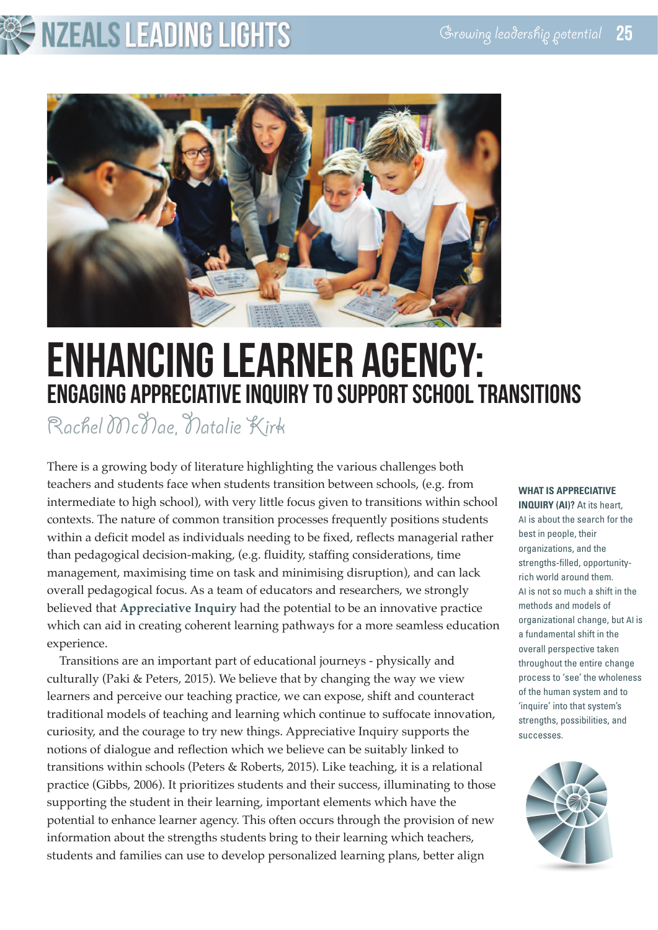# **NZEALS LEADING LIGHTS**



## ENHANCINGLEARNER AGENCY: ENGAGING APPRECIATIVE INQUIRY TO SUPPORT SCHOOL TRANSITIONS

Rachel McNae, Natalie Kirk

There is a growing body of literature highlighting the various challenges both teachers and students face when students transition between schools, (e.g. from intermediate to high school), with very little focus given to transitions within school contexts. The nature of common transition processes frequently positions students within a deficit model as individuals needing to be fixed, reflects managerial rather than pedagogical decision-making, (e.g. fluidity, staffing considerations, time management, maximising time on task and minimising disruption), and can lack overall pedagogical focus. As a team of educators and researchers, we strongly believed that **Appreciative Inquiry** had the potential to be an innovative practice which can aid in creating coherent learning pathways for a more seamless education experience.

Transitions are an important part of educational journeys - physically and culturally (Paki & Peters, 2015). We believe that by changing the way we view learners and perceive our teaching practice, we can expose, shift and counteract traditional models of teaching and learning which continue to suffocate innovation, curiosity, and the courage to try new things. Appreciative Inquiry supports the notions of dialogue and reflection which we believe can be suitably linked to transitions within schools (Peters & Roberts, 2015). Like teaching, it is a relational practice (Gibbs, 2006). It prioritizes students and their success, illuminating to those supporting the student in their learning, important elements which have the potential to enhance learner agency. This often occurs through the provision of new information about the strengths students bring to their learning which teachers, students and families can use to develop personalized learning plans, better align

## **WHAT IS APPRECIATIVE**

**INQUIRY (AI)?** At its heart, AI is about the search for the best in people, their organizations, and the strengths-filled, opportunityrich world around them. AI is not so much a shift in the methods and models of organizational change, but AI is a fundamental shift in the overall perspective taken throughout the entire change process to 'see' the wholeness of the human system and to 'inquire' into that system's strengths, possibilities, and successes.